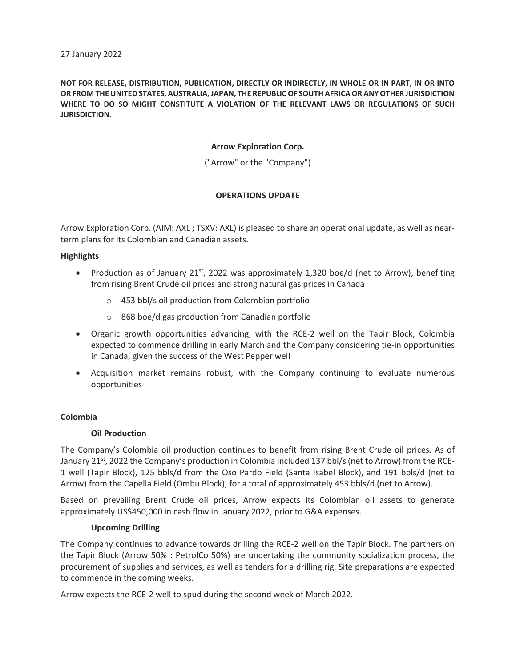NOT FOR RELEASE, DISTRIBUTION, PUBLICATION, DIRECTLY OR INDIRECTLY, IN WHOLE OR IN PART, IN OR INTO OR FROM THE UNITED STATES, AUSTRALIA, JAPAN, THE REPUBLIC OF SOUTH AFRICA OR ANY OTHER JURISDICTION WHERE TO DO SO MIGHT CONSTITUTE A VIOLATION OF THE RELEVANT LAWS OR REGULATIONS OF SUCH JURISDICTION.

### Arrow Exploration Corp.

("Arrow" or the "Company")

### OPERATIONS UPDATE

Arrow Exploration Corp. (AIM: AXL ; TSXV: AXL) is pleased to share an operational update, as well as nearterm plans for its Colombian and Canadian assets.

### **Highlights**

- Production as of January 21<sup>st</sup>, 2022 was approximately 1,320 boe/d (net to Arrow), benefiting from rising Brent Crude oil prices and strong natural gas prices in Canada
	- o 453 bbl/s oil production from Colombian portfolio
	- o 868 boe/d gas production from Canadian portfolio
- Organic growth opportunities advancing, with the RCE-2 well on the Tapir Block, Colombia expected to commence drilling in early March and the Company considering tie-in opportunities in Canada, given the success of the West Pepper well
- Acquisition market remains robust, with the Company continuing to evaluate numerous opportunities

#### Colombia

#### Oil Production

The Company's Colombia oil production continues to benefit from rising Brent Crude oil prices. As of January 21<sup>st</sup>, 2022 the Company's production in Colombia included 137 bbl/s (net to Arrow) from the RCE-1 well (Tapir Block), 125 bbls/d from the Oso Pardo Field (Santa Isabel Block), and 191 bbls/d (net to Arrow) from the Capella Field (Ombu Block), for a total of approximately 453 bbls/d (net to Arrow).

Based on prevailing Brent Crude oil prices, Arrow expects its Colombian oil assets to generate approximately US\$450,000 in cash flow in January 2022, prior to G&A expenses.

#### Upcoming Drilling

The Company continues to advance towards drilling the RCE-2 well on the Tapir Block. The partners on the Tapir Block (Arrow 50% : PetrolCo 50%) are undertaking the community socialization process, the procurement of supplies and services, as well as tenders for a drilling rig. Site preparations are expected to commence in the coming weeks.

Arrow expects the RCE-2 well to spud during the second week of March 2022.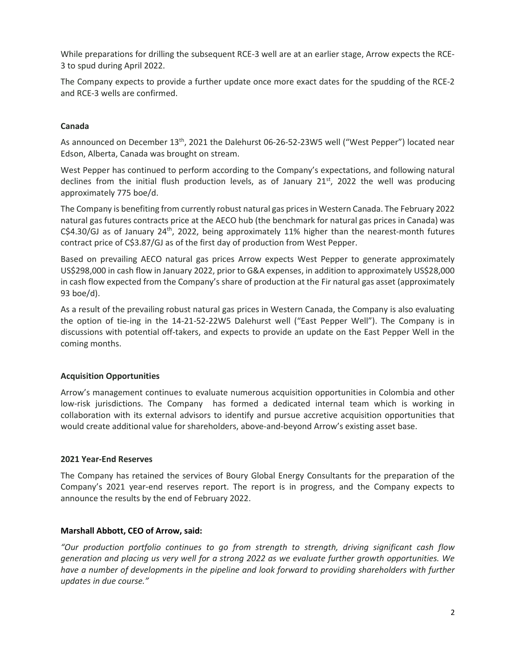While preparations for drilling the subsequent RCE-3 well are at an earlier stage, Arrow expects the RCE-3 to spud during April 2022.

The Company expects to provide a further update once more exact dates for the spudding of the RCE-2 and RCE-3 wells are confirmed.

# Canada

As announced on December 13<sup>th</sup>, 2021 the Dalehurst 06-26-52-23W5 well ("West Pepper") located near Edson, Alberta, Canada was brought on stream.

West Pepper has continued to perform according to the Company's expectations, and following natural declines from the initial flush production levels, as of January 21 $\mathrm{st}$ , 2022 the well was producing approximately 775 boe/d.

The Company is benefiting from currently robust natural gas prices in Western Canada. The February 2022 natural gas futures contracts price at the AECO hub (the benchmark for natural gas prices in Canada) was C\$4.30/GJ as of January 24<sup>th</sup>, 2022, being approximately 11% higher than the nearest-month futures contract price of C\$3.87/GJ as of the first day of production from West Pepper.

Based on prevailing AECO natural gas prices Arrow expects West Pepper to generate approximately US\$298,000 in cash flow in January 2022, prior to G&A expenses, in addition to approximately US\$28,000 in cash flow expected from the Company's share of production at the Fir natural gas asset (approximately 93 boe/d).

As a result of the prevailing robust natural gas prices in Western Canada, the Company is also evaluating the option of tie-ing in the 14-21-52-22W5 Dalehurst well ("East Pepper Well"). The Company is in discussions with potential off-takers, and expects to provide an update on the East Pepper Well in the coming months.

## Acquisition Opportunities

Arrow's management continues to evaluate numerous acquisition opportunities in Colombia and other low-risk jurisdictions. The Company has formed a dedicated internal team which is working in collaboration with its external advisors to identify and pursue accretive acquisition opportunities that would create additional value for shareholders, above-and-beyond Arrow's existing asset base.

## 2021 Year-End Reserves

The Company has retained the services of Boury Global Energy Consultants for the preparation of the Company's 2021 year-end reserves report. The report is in progress, and the Company expects to announce the results by the end of February 2022.

## Marshall Abbott, CEO of Arrow, said:

"Our production portfolio continues to go from strength to strength, driving significant cash flow generation and placing us very well for a strong 2022 as we evaluate further growth opportunities. We have a number of developments in the pipeline and look forward to providing shareholders with further updates in due course."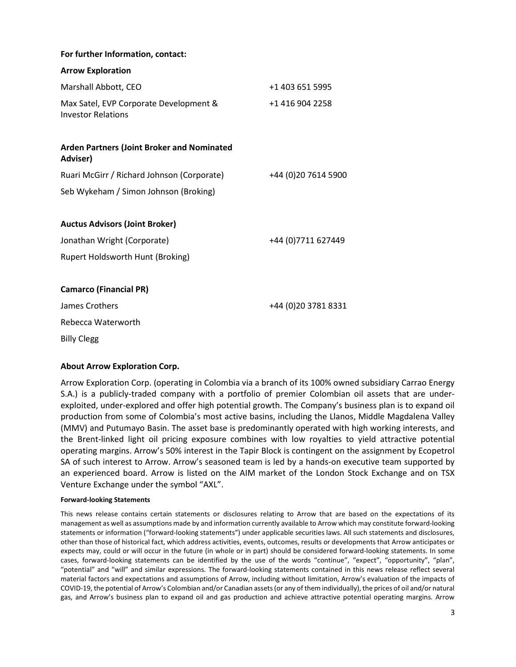|  | For further Information, contact: |  |
|--|-----------------------------------|--|
|--|-----------------------------------|--|

| <b>Arrow Exploration</b>                                            |                      |
|---------------------------------------------------------------------|----------------------|
| Marshall Abbott, CEO                                                | +1 403 651 5995      |
| Max Satel, EVP Corporate Development &<br><b>Investor Relations</b> | +1 416 904 2258      |
| <b>Arden Partners (Joint Broker and Nominated</b><br>Adviser)       |                      |
| Ruari McGirr / Richard Johnson (Corporate)                          | +44 (0)20 7614 5900  |
| Seb Wykeham / Simon Johnson (Broking)                               |                      |
| <b>Auctus Advisors (Joint Broker)</b>                               |                      |
| Jonathan Wright (Corporate)                                         | +44 (0) 7711 627449  |
| Rupert Holdsworth Hunt (Broking)                                    |                      |
| <b>Camarco (Financial PR)</b>                                       |                      |
| James Crothers                                                      | +44 (0) 20 3781 8331 |
| Rebecca Waterworth                                                  |                      |
| <b>Billy Clegg</b>                                                  |                      |

## About Arrow Exploration Corp.

Arrow Exploration Corp. (operating in Colombia via a branch of its 100% owned subsidiary Carrao Energy S.A.) is a publicly-traded company with a portfolio of premier Colombian oil assets that are underexploited, under-explored and offer high potential growth. The Company's business plan is to expand oil production from some of Colombia's most active basins, including the Llanos, Middle Magdalena Valley (MMV) and Putumayo Basin. The asset base is predominantly operated with high working interests, and the Brent-linked light oil pricing exposure combines with low royalties to yield attractive potential operating margins. Arrow's 50% interest in the Tapir Block is contingent on the assignment by Ecopetrol SA of such interest to Arrow. Arrow's seasoned team is led by a hands-on executive team supported by an experienced board. Arrow is listed on the AIM market of the London Stock Exchange and on TSX Venture Exchange under the symbol "AXL".

#### Forward-looking Statements

This news release contains certain statements or disclosures relating to Arrow that are based on the expectations of its management as well as assumptions made by and information currently available to Arrow which may constitute forward-looking statements or information ("forward-looking statements") under applicable securities laws. All such statements and disclosures, other than those of historical fact, which address activities, events, outcomes, results or developments that Arrow anticipates or expects may, could or will occur in the future (in whole or in part) should be considered forward-looking statements. In some cases, forward-looking statements can be identified by the use of the words "continue", "expect", "opportunity", "plan", "potential" and "will" and similar expressions. The forward-looking statements contained in this news release reflect several material factors and expectations and assumptions of Arrow, including without limitation, Arrow's evaluation of the impacts of COVID-19, the potential of Arrow's Colombian and/or Canadian assets (or any of them individually), the prices of oil and/or natural gas, and Arrow's business plan to expand oil and gas production and achieve attractive potential operating margins. Arrow